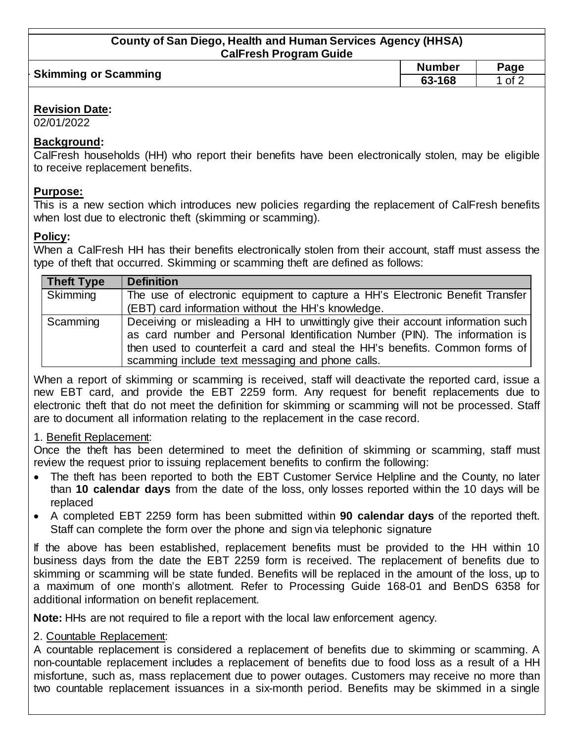| County of San Diego, Health and Human Services Agency (HHSA)<br><b>CalFresh Program Guide</b> |               |          |  |
|-----------------------------------------------------------------------------------------------|---------------|----------|--|
|                                                                                               | <b>Number</b> | Page     |  |
| <b>Skimming or Scamming</b>                                                                   | 63-168        | 1 of $2$ |  |

### **Revision Date:**

02/01/2022

### **Background:**

CalFresh households (HH) who report their benefits have been electronically stolen, may be eligible to receive replacement benefits.

### **Purpose:**

This is a new section which introduces new policies regarding the replacement of CalFresh benefits when lost due to electronic theft (skimming or scamming).

# **Policy:**

When a CalFresh HH has their benefits electronically stolen from their account, staff must assess the type of theft that occurred. Skimming or scamming theft are defined as follows:

| <b>Theft Type</b> | <b>Definition</b>                                                                                                                                                                                                                                                                                  |
|-------------------|----------------------------------------------------------------------------------------------------------------------------------------------------------------------------------------------------------------------------------------------------------------------------------------------------|
| Skimming          | The use of electronic equipment to capture a HH's Electronic Benefit Transfer                                                                                                                                                                                                                      |
|                   | (EBT) card information without the HH's knowledge.                                                                                                                                                                                                                                                 |
| Scamming          | Deceiving or misleading a HH to unwittingly give their account information such<br>as card number and Personal Identification Number (PIN). The information is<br>then used to counterfeit a card and steal the HH's benefits. Common forms of<br>scamming include text messaging and phone calls. |

When a report of skimming or scamming is received, staff will deactivate the reported card, issue a new EBT card, and provide the EBT 2259 form. Any request for benefit replacements due to electronic theft that do not meet the definition for skimming or scamming will not be processed. Staff are to document all information relating to the replacement in the case record.

# 1. Benefit Replacement:

Once the theft has been determined to meet the definition of skimming or scamming, staff must review the request prior to issuing replacement benefits to confirm the following:

- The theft has been reported to both the EBT Customer Service Helpline and the County, no later than **10 calendar days** from the date of the loss, only losses reported within the 10 days will be replaced
- A completed EBT 2259 form has been submitted within **90 calendar days** of the reported theft. Staff can complete the form over the phone and sign via telephonic signature

If the above has been established, replacement benefits must be provided to the HH within 10 business days from the date the EBT 2259 form is received. The replacement of benefits due to skimming or scamming will be state funded. Benefits will be replaced in the amount of the loss, up to a maximum of one month's allotment. Refer to Processing Guide 168-01 and BenDS 6358 for additional information on benefit replacement.

**Note:** HHs are not required to file a report with the local law enforcement agency.

# 2. Countable Replacement:

A countable replacement is considered a replacement of benefits due to skimming or scamming. A non-countable replacement includes a replacement of benefits due to food loss as a result of a HH misfortune, such as, mass replacement due to power outages. Customers may receive no more than two countable replacement issuances in a six-month period. Benefits may be skimmed in a single